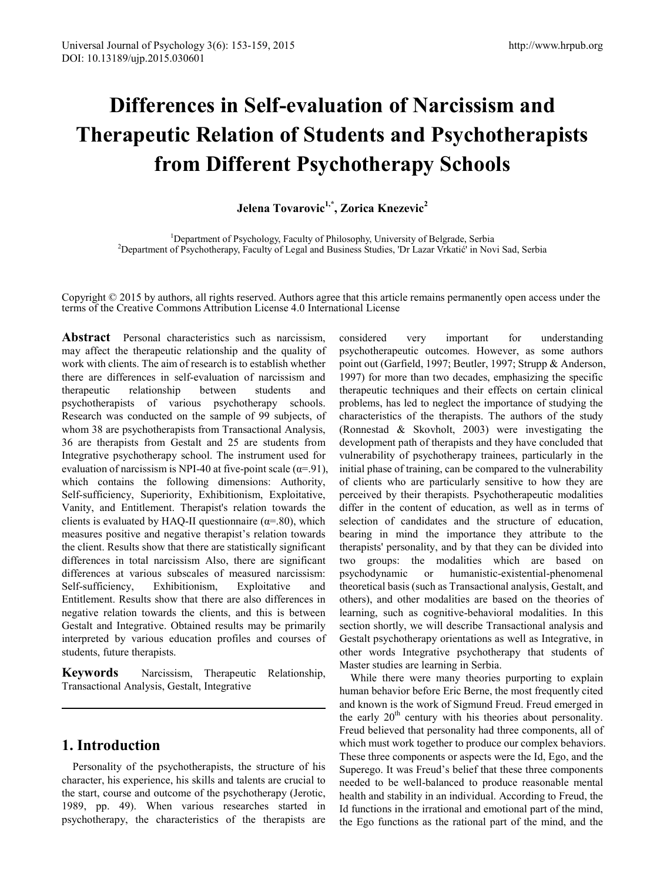# **Differences in Self-evaluation of Narcissism and Therapeutic Relation of Students and Psychotherapists from Different Psychotherapy Schools**

**Jelena Tovarovic1,\*, Zorica Knezevic2**

<sup>1</sup> Department of Psychology, Faculty of Philosophy, University of Belgrade, Serbia<sup>2</sup> Department of Psychotherany, Faculty of Legal and Business Studies. Dr Lazar Vikatió in No <sup>2</sup>Department of Psychotherapy, Faculty of Legal and Business Studies, 'Dr Lazar Vrkatić' in Novi Sad, Serbia

Copyright © 2015 by authors, all rights reserved. Authors agree that this article remains permanently open access under the terms of the Creative Commons Attribution License 4.0 International License

Abstract Personal characteristics such as narcissism. may affect the therapeutic relationship and the quality of work with clients. The aim of research is to establish whether there are differences in self-evaluation of narcissism and therapeutic relationship between students and psychotherapists of various psychotherapy schools. Research was conducted on the sample of 99 subjects, of whom 38 are psychotherapists from Transactional Analysis, 36 are therapists from Gestalt and 25 are students from Integrative psychotherapy school. The instrument used for evaluation of narcissism is NPI-40 at five-point scale ( $\alpha$ =.91), which contains the following dimensions: Authority, Self-sufficiency, Superiority, Exhibitionism, Exploitative, Vanity, and Entitlement. Therapist's relation towards the clients is evaluated by HAQ-II questionnaire ( $\alpha$ =.80), which measures positive and negative therapist's relation towards the client. Results show that there are statistically significant differences in total narcissism Also, there are significant differences at various subscales of measured narcissism: Self-sufficiency, Exhibitionism, Exploitative and Entitlement. Results show that there are also differences in negative relation towards the clients, and this is between Gestalt and Integrative. Obtained results may be primarily interpreted by various education profiles and courses of students, future therapists.

**Keywords** Narcissism, Therapeutic Relationship, Transactional Analysis, Gestalt, Integrative

#### **1. Introduction**

Personality of the psychotherapists, the structure of his character, his experience, his skills and talents are crucial to the start, course and outcome of the psychotherapy (Jerotic, 1989, pp. 49). When various researches started in psychotherapy, the characteristics of the therapists are

considered very important for understanding psychotherapeutic outcomes. However, as some authors point out (Garfield, 1997; Beutler, 1997; Strupp & Anderson, 1997) for more than two decades, emphasizing the specific therapeutic techniques and their effects on certain clinical problems, has led to neglect the importance of studying the characteristics of the therapists. The authors of the study (Ronnestad & Skovholt, 2003) were investigating the development path of therapists and they have concluded that vulnerability of psychotherapy trainees, particularly in the initial phase of training, can be compared to the vulnerability of clients who are particularly sensitive to how they are perceived by their therapists. Psychotherapeutic modalities differ in the content of education, as well as in terms of selection of candidates and the structure of education, bearing in mind the importance they attribute to the therapists' personality, and by that they can be divided into two groups: the modalities which are based on psychodynamic or humanistic-existential-phenomenal theoretical basis (such as Transactional analysis, Gestalt, and others), and other modalities are based on the theories of learning, such as cognitive-behavioral modalities. In this section shortly, we will describe Transactional analysis and Gestalt psychotherapy orientations as well as Integrative, in other words Integrative psychotherapy that students of Master studies are learning in Serbia.

While there were many theories purporting to explain human behavior before Eric Berne, the most frequently cited and known is the work of Sigmund Freud. Freud emerged in the early  $20<sup>th</sup>$  century with his theories about personality. Freud believed that personality had three components, all of which must work together to produce our complex behaviors. These three components or aspects were the Id, Ego, and the Superego. It was Freud's belief that these three components needed to be well-balanced to produce reasonable mental health and stability in an individual. According to Freud, the Id functions in the irrational and emotional part of the mind, the Ego functions as the rational part of the mind, and the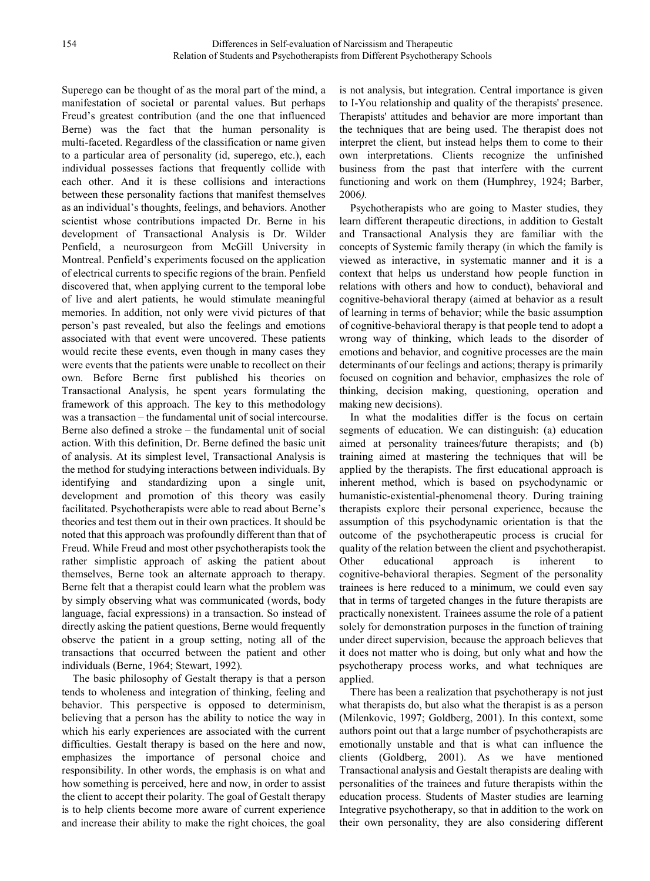Superego can be thought of as the moral part of the mind, a manifestation of societal or parental values. But perhaps Freud's greatest contribution (and the one that influenced Berne) was the fact that the human personality is multi-faceted. Regardless of the classification or name given to a particular area of personality (id, superego, etc.), each individual possesses factions that frequently collide with each other. And it is these collisions and interactions between these personality factions that manifest themselves as an individual's thoughts, feelings, and behaviors. Another scientist whose contributions impacted Dr. Berne in his development of Transactional Analysis is Dr. Wilder Penfield, a neurosurgeon from McGill University in Montreal. Penfield's experiments focused on the application of electrical currents to specific regions of the brain. Penfield discovered that, when applying current to the temporal lobe of live and alert patients, he would stimulate meaningful memories. In addition, not only were vivid pictures of that person's past revealed, but also the feelings and emotions associated with that event were uncovered. These patients would recite these events, even though in many cases they were events that the patients were unable to recollect on their own. Before Berne first published his theories on Transactional Analysis, he spent years formulating the framework of this approach. The key to this methodology was a transaction – the fundamental unit of social intercourse. Berne also defined a stroke – the fundamental unit of social action. With this definition, Dr. Berne defined the basic unit of analysis. At its simplest level, Transactional Analysis is the method for studying interactions between individuals. By identifying and standardizing upon a single unit, development and promotion of this theory was easily facilitated. Psychotherapists were able to read about Berne's theories and test them out in their own practices. It should be noted that this approach was profoundly different than that of Freud. While Freud and most other psychotherapists took the rather simplistic approach of asking the patient about themselves, Berne took an alternate approach to therapy. Berne felt that a therapist could learn what the problem was by simply observing what was communicated (words, body language, facial expressions) in a transaction. So instead of directly asking the patient questions, Berne would frequently observe the patient in a group setting, noting all of the transactions that occurred between the patient and other individuals (Berne, 1964; Stewart, 1992)*.*

The basic philosophy of Gestalt therapy is that a person tends to wholeness and integration of thinking, feeling and behavior. This perspective is opposed to determinism, believing that a person has the ability to notice the way in which his early experiences are associated with the current difficulties. Gestalt therapy is based on the here and now, emphasizes the importance of personal choice and responsibility. In other words, the emphasis is on what and how something is perceived, here and now, in order to assist the client to accept their polarity. The goal of Gestalt therapy is to help clients become more aware of current experience and increase their ability to make the right choices, the goal

is not analysis, but integration. Central importance is given to I-You relationship and quality of the therapists' presence. Therapists' attitudes and behavior are more important than the techniques that are being used. The therapist does not interpret the client, but instead helps them to come to their own interpretations. Clients recognize the unfinished business from the past that interfere with the current functioning and work on them (Humphrey, 1924; Barber, 2006*).*

Psychotherapists who are going to Master studies, they learn different therapeutic directions, in addition to Gestalt and Transactional Analysis they are familiar with the concepts of Systemic family therapy (in which the family is viewed as interactive, in systematic manner and it is a context that helps us understand how people function in relations with others and how to conduct), behavioral and cognitive-behavioral therapy (aimed at behavior as a result of learning in terms of behavior; while the basic assumption of cognitive-behavioral therapy is that people tend to adopt a wrong way of thinking, which leads to the disorder of emotions and behavior, and cognitive processes are the main determinants of our feelings and actions; therapy is primarily focused on cognition and behavior, emphasizes the role of thinking, decision making, questioning, operation and making new decisions).

In what the modalities differ is the focus on certain segments of education. We can distinguish: (a) education aimed at personality trainees/future therapists; and (b) training aimed at mastering the techniques that will be applied by the therapists. The first educational approach is inherent method, which is based on psychodynamic or humanistic-existential-phenomenal theory. During training therapists explore their personal experience, because the assumption of this psychodynamic orientation is that the outcome of the psychotherapeutic process is crucial for quality of the relation between the client and psychotherapist. Other educational approach is inherent to cognitive-behavioral therapies. Segment of the personality trainees is here reduced to a minimum, we could even say that in terms of targeted changes in the future therapists are practically nonexistent. Trainees assume the role of a patient solely for demonstration purposes in the function of training under direct supervision, because the approach believes that it does not matter who is doing, but only what and how the psychotherapy process works, and what techniques are applied.

There has been a realization that psychotherapy is not just what therapists do, but also what the therapist is as a person (Milenkovic, 1997; Goldberg, 2001). In this context, some authors point out that a large number of psychotherapists are emotionally unstable and that is what can influence the clients (Goldberg, 2001). As we have mentioned Transactional analysis and Gestalt therapists are dealing with personalities of the trainees and future therapists within the education process. Students of Master studies are learning Integrative psychotherapy, so that in addition to the work on their own personality, they are also considering different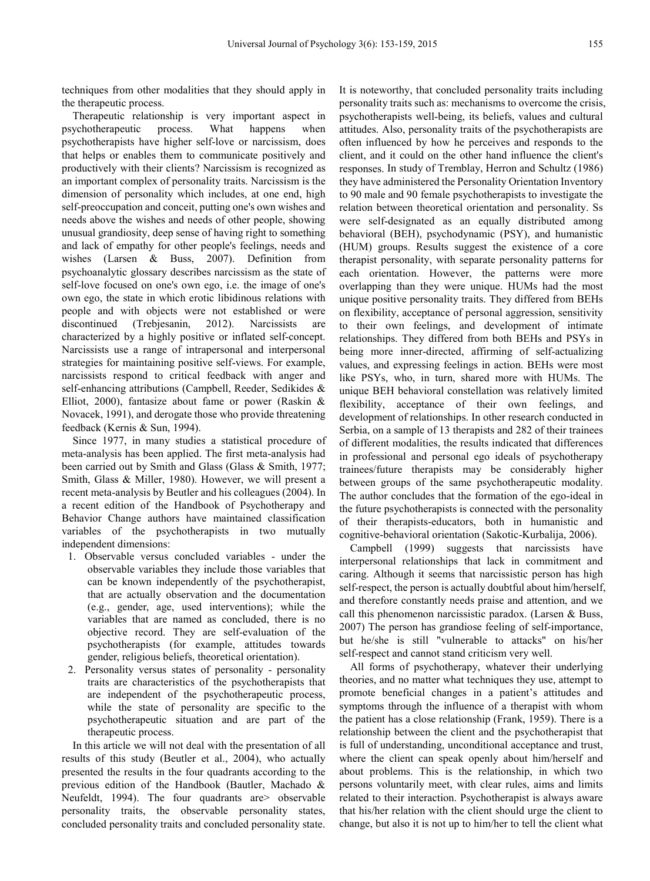techniques from other modalities that they should apply in the therapeutic process.

Therapeutic relationship is very important aspect in psychotherapeutic process. What happens when psychotherapists have higher self-love or narcissism, does that helps or enables them to communicate positively and productively with their clients? Narcissism is recognized as an important complex of personality traits. Narcissism is the dimension of personality which includes, at one end, high self-preoccupation and conceit, putting one's own wishes and needs above the wishes and needs of other people, showing unusual grandiosity, deep sense of having right to something and lack of empathy for other people's feelings, needs and wishes (Larsen & Buss, 2007). Definition from psychoanalytic glossary describes narcissism as the state of self-love focused on one's own ego, i.e. the image of one's own ego, the state in which erotic libidinous relations with people and with objects were not established or were discontinued (Trebjesanin, 2012). Narcissists are characterized by a highly positive or inflated self-concept. Narcissists use a range of intrapersonal and interpersonal strategies for maintaining positive self-views. For example, narcissists respond to critical feedback with anger and self-enhancing attributions (Campbell, Reeder, Sedikides & Elliot, 2000), fantasize about fame or power (Raskin & Novacek, 1991), and derogate those who provide threatening feedback (Kernis & Sun, 1994).

Since 1977, in many studies a statistical procedure of meta-analysis has been applied. The first meta-analysis had been carried out by Smith and Glass (Glass & Smith, 1977; Smith, Glass & Miller, 1980). However, we will present a recent meta-analysis by Beutler and his colleagues (2004). In a recent edition of the Handbook of Psychotherapy and Behavior Change authors have maintained classification variables of the psychotherapists in two mutually independent dimensions:

- 1. Observable versus concluded variables under the observable variables they include those variables that can be known independently of the psychotherapist, that are actually observation and the documentation (e.g., gender, age, used interventions); while the variables that are named as concluded, there is no objective record. They are self-evaluation of the psychotherapists (for example, attitudes towards gender, religious beliefs, theoretical orientation).
- 2. Personality versus states of personality personality traits are characteristics of the psychotherapists that are independent of the psychotherapeutic process, while the state of personality are specific to the psychotherapeutic situation and are part of the therapeutic process.

In this article we will not deal with the presentation of all results of this study (Beutler et al., 2004), who actually presented the results in the four quadrants according to the previous edition of the Handbook (Bautler, Machado & Neufeldt, 1994). The four quadrants are observable personality traits, the observable personality states, concluded personality traits and concluded personality state.

It is noteworthy, that concluded personality traits including personality traits such as: mechanisms to overcome the crisis, psychotherapists well-being, its beliefs, values and cultural attitudes. Also, personality traits of the psychotherapists are often influenced by how he perceives and responds to the client, and it could on the other hand influence the client's responses. In study of Tremblay, Herron and Schultz (1986) they have administered the Personality Orientation Inventory to 90 male and 90 female psychotherapists to investigate the relation between theoretical orientation and personality. Ss were self-designated as an equally distributed among behavioral (BEH), psychodynamic (PSY), and humanistic (HUM) groups. Results suggest the existence of a core therapist personality, with separate personality patterns for each orientation. However, the patterns were more overlapping than they were unique. HUMs had the most unique positive personality traits. They differed from BEHs on flexibility, acceptance of personal aggression, sensitivity to their own feelings, and development of intimate relationships. They differed from both BEHs and PSYs in being more inner-directed, affirming of self-actualizing values, and expressing feelings in action. BEHs were most like PSYs, who, in turn, shared more with HUMs. The unique BEH behavioral constellation was relatively limited flexibility, acceptance of their own feelings, and development of relationships. In other research conducted in Serbia, on a sample of 13 therapists and 282 of their trainees of different modalities, the results indicated that differences in professional and personal ego ideals of psychotherapy trainees/future therapists may be considerably higher between groups of the same psychotherapeutic modality. The author concludes that the formation of the ego-ideal in the future psychotherapists is connected with the personality of their therapists-educators, both in humanistic and cognitive-behavioral orientation (Sakotic-Kurbalija, 2006).

Campbell (1999) suggests that narcissists have interpersonal relationships that lack in commitment and caring. Although it seems that narcissistic person has high self-respect, the person is actually doubtful about him/herself, and therefore constantly needs praise and attention, and we call this phenomenon narcissistic paradox. (Larsen & Buss, 2007) The person has grandiose feeling of self-importance, but he/she is still "vulnerable to attacks" on his/her self-respect and cannot stand criticism very well.

All forms of psychotherapy, whatever their underlying theories, and no matter what techniques they use, attempt to promote beneficial changes in a patient's attitudes and symptoms through the influence of a therapist with whom the patient has a close relationship (Frank, 1959). There is a relationship between the client and the psychotherapist that is full of understanding, unconditional acceptance and trust, where the client can speak openly about him/herself and about problems. This is the relationship, in which two persons voluntarily meet, with clear rules, aims and limits related to their interaction. Psychotherapist is always aware that his/her relation with the client should urge the client to change, but also it is not up to him/her to tell the client what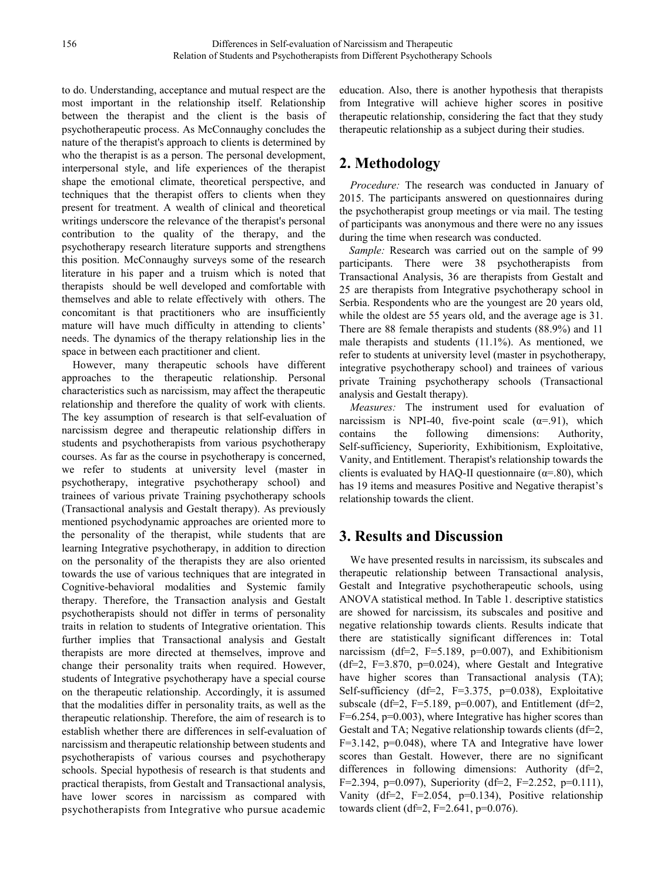to do. Understanding, acceptance and mutual respect are the most important in the relationship itself. Relationship between the therapist and the client is the basis of psychotherapeutic process. As McConnaughy concludes the nature of the therapist's approach to clients is determined by who the therapist is as a person. The personal development, interpersonal style, and life experiences of the therapist shape the emotional climate, theoretical perspective, and techniques that the therapist offers to clients when they present for treatment. A wealth of clinical and theoretical writings underscore the relevance of the therapist's personal contribution to the quality of the therapy, and the psychotherapy research literature supports and strengthens this position. McConnaughy surveys some of the research literature in his paper and a truism which is noted that therapists should be well developed and comfortable with themselves and able to relate effectively with others. The concomitant is that practitioners who are insufficiently mature will have much difficulty in attending to clients' needs. The dynamics of the therapy relationship lies in the space in between each practitioner and client.

However, many therapeutic schools have different approaches to the therapeutic relationship. Personal characteristics such as narcissism, may affect the therapeutic relationship and therefore the quality of work with clients. The key assumption of research is that self-evaluation of narcissism degree and therapeutic relationship differs in students and psychotherapists from various psychotherapy courses. As far as the course in psychotherapy is concerned, we refer to students at university level (master in psychotherapy, integrative psychotherapy school) and trainees of various private Training psychotherapy schools (Transactional analysis and Gestalt therapy). As previously mentioned psychodynamic approaches are oriented more to the personality of the therapist, while students that are learning Integrative psychotherapy, in addition to direction on the personality of the therapists they are also oriented towards the use of various techniques that are integrated in Cognitive-behavioral modalities and Systemic family therapy. Therefore, the Transaction analysis and Gestalt psychotherapists should not differ in terms of personality traits in relation to students of Integrative orientation. This further implies that Transactional analysis and Gestalt therapists are more directed at themselves, improve and change their personality traits when required. However, students of Integrative psychotherapy have a special course on the therapeutic relationship. Accordingly, it is assumed that the modalities differ in personality traits, as well as the therapeutic relationship. Therefore, the aim of research is to establish whether there are differences in self-evaluation of narcissism and therapeutic relationship between students and psychotherapists of various courses and psychotherapy schools. Special hypothesis of research is that students and practical therapists, from Gestalt and Transactional analysis, have lower scores in narcissism as compared with psychotherapists from Integrative who pursue academic

education. Also, there is another hypothesis that therapists from Integrative will achieve higher scores in positive therapeutic relationship, considering the fact that they study therapeutic relationship as a subject during their studies.

# **2. Methodology**

*Procedure:* The research was conducted in January of 2015. The participants answered on questionnaires during the psychotherapist group meetings or via mail. The testing of participants was anonymous and there were no any issues during the time when research was conducted.

*Sample:* Research was carried out on the sample of 99 participants. There were 38 psychotherapists from Transactional Analysis, 36 are therapists from Gestalt and 25 are therapists from Integrative psychotherapy school in Serbia. Respondents who are the youngest are 20 years old, while the oldest are 55 years old, and the average age is 31. There are 88 female therapists and students (88.9%) and 11 male therapists and students (11.1%). As mentioned, we refer to students at university level (master in psychotherapy, integrative psychotherapy school) and trainees of various private Training psychotherapy schools (Transactional analysis and Gestalt therapy).

*Measures:* The instrument used for evaluation of narcissism is NPI-40, five-point scale  $(\alpha = .91)$ , which contains the following dimensions: Authority, Self-sufficiency, Superiority, Exhibitionism, Exploitative, Vanity, and Entitlement. Therapist's relationship towards the clients is evaluated by HAQ-II questionnaire ( $\alpha$ =.80), which has 19 items and measures Positive and Negative therapist's relationship towards the client.

# **3. Results and Discussion**

We have presented results in narcissism, its subscales and therapeutic relationship between Transactional analysis, Gestalt and Integrative psychotherapeutic schools, using ANOVA statistical method. In Table 1. descriptive statistics are showed for narcissism, its subscales and positive and negative relationship towards clients. Results indicate that there are statistically significant differences in: Total narcissism (df=2, F=5.189, p=0.007), and Exhibitionism  $(df=2, F=3.870, p=0.024)$ , where Gestalt and Integrative have higher scores than Transactional analysis (TA); Self-sufficiency (df=2, F=3.375, p=0.038), Exploitative subscale (df=2, F=5.189,  $p=0.007$ ), and Entitlement (df=2, F=6.254, p=0.003), where Integrative has higher scores than Gestalt and TA; Negative relationship towards clients (df=2, F=3.142, p=0.048), where TA and Integrative have lower scores than Gestalt. However, there are no significant differences in following dimensions: Authority (df=2, F=2.394, p=0.097), Superiority (df=2, F=2.252, p=0.111), Vanity (df=2, F=2.054, p=0.134), Positive relationship towards client (df=2, F=2.641, p=0.076).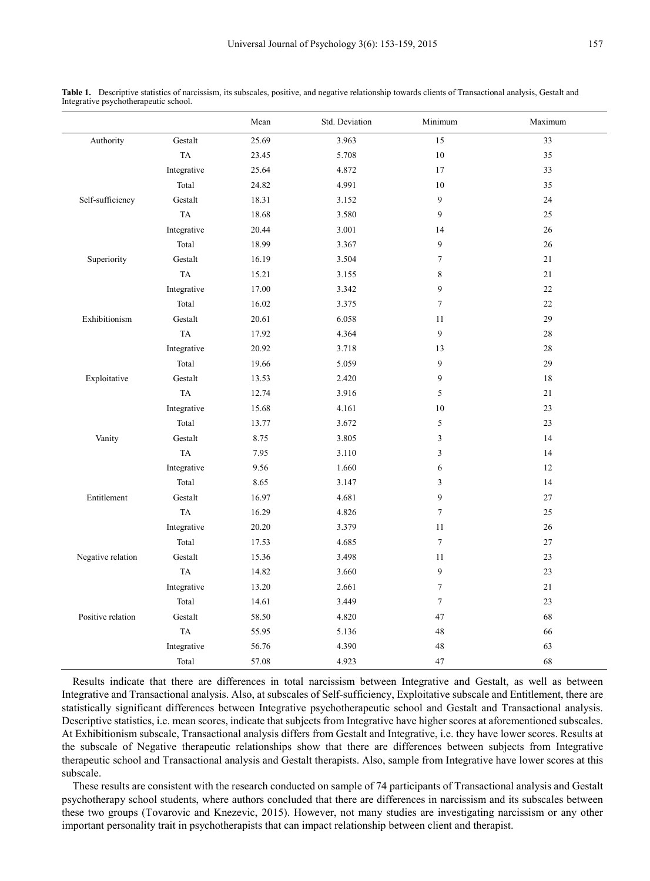|                   |             | Mean  | Std. Deviation | Minimum          | Maximum |
|-------------------|-------------|-------|----------------|------------------|---------|
| Authority         | Gestalt     | 25.69 | 3.963          | 15               | 33      |
|                   | TA          | 23.45 | 5.708          | 10               | 35      |
|                   | Integrative | 25.64 | 4.872          | 17               | 33      |
|                   | Total       | 24.82 | 4.991          | 10               | 35      |
| Self-sufficiency  | Gestalt     | 18.31 | 3.152          | 9                | 24      |
|                   | <b>TA</b>   | 18.68 | 3.580          | 9                | 25      |
|                   | Integrative | 20.44 | 3.001          | 14               | 26      |
|                   | Total       | 18.99 | 3.367          | 9                | 26      |
| Superiority       | Gestalt     | 16.19 | 3.504          | $\overline{7}$   | 21      |
|                   | TA          | 15.21 | 3.155          | 8                | 21      |
|                   | Integrative | 17.00 | 3.342          | $\mathbf{9}$     | $22\,$  |
|                   | Total       | 16.02 | 3.375          | $\boldsymbol{7}$ | 22      |
| Exhibitionism     | Gestalt     | 20.61 | 6.058          | 11               | 29      |
|                   | TA          | 17.92 | 4.364          | $\mathbf{9}$     | $28\,$  |
|                   | Integrative | 20.92 | 3.718          | 13               | 28      |
|                   | Total       | 19.66 | 5.059          | 9                | 29      |
| Exploitative      | Gestalt     | 13.53 | 2.420          | $\mathbf{9}$     | 18      |
|                   | TA          | 12.74 | 3.916          | 5                | 21      |
|                   | Integrative | 15.68 | 4.161          | 10               | 23      |
|                   | Total       | 13.77 | 3.672          | 5                | 23      |
| Vanity            | Gestalt     | 8.75  | 3.805          | $\overline{3}$   | 14      |
|                   | TA          | 7.95  | 3.110          | 3                | 14      |
|                   | Integrative | 9.56  | 1.660          | $\sqrt{6}$       | 12      |
|                   | Total       | 8.65  | 3.147          | $\overline{3}$   | 14      |
| Entitlement       | Gestalt     | 16.97 | 4.681          | $\mathbf{9}$     | 27      |
|                   | TA          | 16.29 | 4.826          | $\boldsymbol{7}$ | 25      |
|                   | Integrative | 20.20 | 3.379          | 11               | 26      |
|                   | Total       | 17.53 | 4.685          | $\boldsymbol{7}$ | 27      |
| Negative relation | Gestalt     | 15.36 | 3.498          | 11               | 23      |
|                   | TA          | 14.82 | 3.660          | 9                | 23      |
|                   | Integrative | 13.20 | 2.661          | $\boldsymbol{7}$ | 21      |
|                   | Total       | 14.61 | 3.449          | $\overline{7}$   | 23      |
| Positive relation | Gestalt     | 58.50 | 4.820          | 47               | 68      |
|                   | TA          | 55.95 | 5.136          | 48               | 66      |
|                   | Integrative | 56.76 | 4.390          | 48               | 63      |
|                   | Total       | 57.08 | 4.923          | 47               | 68      |

**Table 1.** Descriptive statistics of narcissism, its subscales, positive, and negative relationship towards clients of Transactional analysis, Gestalt and Integrative psychotherapeutic school.

Results indicate that there are differences in total narcissism between Integrative and Gestalt, as well as between Integrative and Transactional analysis. Also, at subscales of Self-sufficiency, Exploitative subscale and Entitlement, there are statistically significant differences between Integrative psychotherapeutic school and Gestalt and Transactional analysis. Descriptive statistics, i.e. mean scores, indicate that subjects from Integrative have higher scores at aforementioned subscales. At Exhibitionism subscale, Transactional analysis differs from Gestalt and Integrative, i.e. they have lower scores. Results at the subscale of Negative therapeutic relationships show that there are differences between subjects from Integrative therapeutic school and Transactional analysis and Gestalt therapists. Also, sample from Integrative have lower scores at this subscale.

These results are consistent with the research conducted on sample of 74 participants of Transactional analysis and Gestalt psychotherapy school students, where authors concluded that there are differences in narcissism and its subscales between these two groups (Tovarovic and Knezevic, 2015). However, not many studies are investigating narcissism or any other important personality trait in psychotherapists that can impact relationship between client and therapist.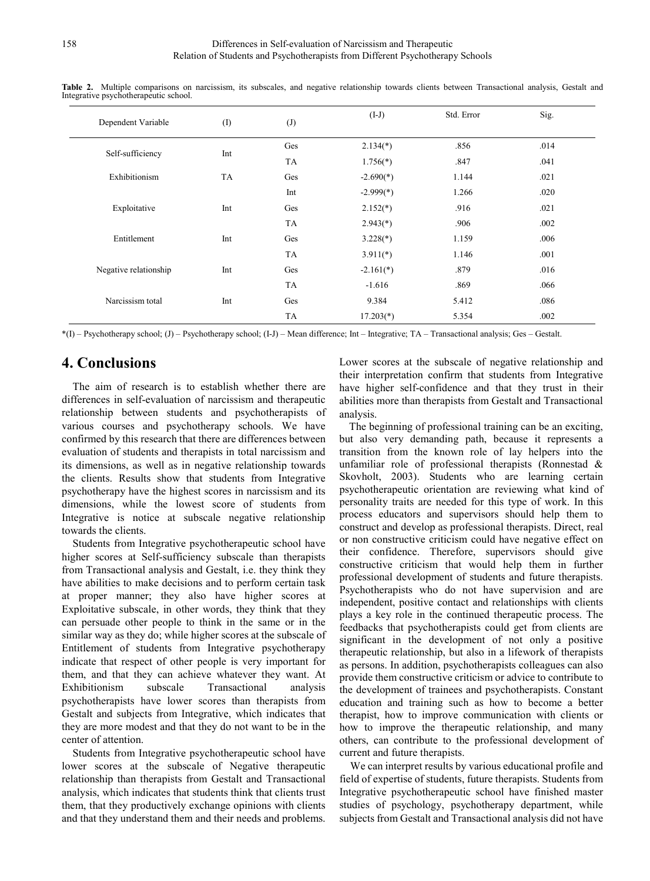| Dependent Variable    | (1)       | $\left( J\right)$ | $(I-J)$     | Std. Error | Sig. |
|-----------------------|-----------|-------------------|-------------|------------|------|
|                       | Int       | Ges               | $2.134(*)$  | .856       | .014 |
| Self-sufficiency      |           | TA                | $1.756(*)$  | .847       | .041 |
| Exhibitionism         | <b>TA</b> | Ges               | $-2.690(*)$ | 1.144      | .021 |
|                       |           | Int               | $-2.999(*)$ | 1.266      | .020 |
| Exploitative          | Int       | Ges               | $2.152(*)$  | .916       | .021 |
|                       |           | TA                | $2.943(*)$  | .906       | .002 |
| Entitlement           | Int       | Ges               | $3.228(*)$  | 1.159      | .006 |
|                       |           | TA                | $3.911(*)$  | 1.146      | .001 |
| Negative relationship | Int       | Ges               | $-2.161(*)$ | .879       | .016 |
|                       |           | TA                | $-1.616$    | .869       | .066 |
| Narcissism total      | Int       | Ges               | 9.384       | 5.412      | .086 |
|                       |           | TA                | $17.203(*)$ | 5.354      | .002 |

**Table 2.** Multiple comparisons on narcissism, its subscales, and negative relationship towards clients between Transactional analysis, Gestalt and Integrative psychotherapeutic school.

\*(I) – Psychotherapy school; (J) – Psychotherapy school; (I-J) – Mean difference; Int – Integrative; TA – Transactional analysis; Ges – Gestalt.

### **4. Conclusions**

The aim of research is to establish whether there are differences in self-evaluation of narcissism and therapeutic relationship between students and psychotherapists of various courses and psychotherapy schools. We have confirmed by this research that there are differences between evaluation of students and therapists in total narcissism and its dimensions, as well as in negative relationship towards the clients. Results show that students from Integrative psychotherapy have the highest scores in narcissism and its dimensions, while the lowest score of students from Integrative is notice at subscale negative relationship towards the clients.

Students from Integrative psychotherapeutic school have higher scores at Self-sufficiency subscale than therapists from Transactional analysis and Gestalt, i.e. they think they have abilities to make decisions and to perform certain task at proper manner; they also have higher scores at Exploitative subscale, in other words, they think that they can persuade other people to think in the same or in the similar way as they do; while higher scores at the subscale of Entitlement of students from Integrative psychotherapy indicate that respect of other people is very important for them, and that they can achieve whatever they want. At Exhibitionism subscale Transactional analysis psychotherapists have lower scores than therapists from Gestalt and subjects from Integrative, which indicates that they are more modest and that they do not want to be in the center of attention.

Students from Integrative psychotherapeutic school have lower scores at the subscale of Negative therapeutic relationship than therapists from Gestalt and Transactional analysis, which indicates that students think that clients trust them, that they productively exchange opinions with clients and that they understand them and their needs and problems.

Lower scores at the subscale of negative relationship and their interpretation confirm that students from Integrative have higher self-confidence and that they trust in their abilities more than therapists from Gestalt and Transactional analysis.

The beginning of professional training can be an exciting, but also very demanding path, because it represents a transition from the known role of lay helpers into the unfamiliar role of professional therapists (Ronnestad & Skovholt, 2003). Students who are learning certain psychotherapeutic orientation are reviewing what kind of personality traits are needed for this type of work. In this process educators and supervisors should help them to construct and develop as professional therapists. Direct, real or non constructive criticism could have negative effect on their confidence. Therefore, supervisors should give constructive criticism that would help them in further professional development of students and future therapists. Psychotherapists who do not have supervision and are independent, positive contact and relationships with clients plays a key role in the continued therapeutic process. The feedbacks that psychotherapists could get from clients are significant in the development of not only a positive therapeutic relationship, but also in a lifework of therapists as persons. In addition, psychotherapists colleagues can also provide them constructive criticism or advice to contribute to the development of trainees and psychotherapists. Constant education and training such as how to become a better therapist, how to improve communication with clients or how to improve the therapeutic relationship, and many others, can contribute to the professional development of current and future therapists.

We can interpret results by various educational profile and field of expertise of students, future therapists. Students from Integrative psychotherapeutic school have finished master studies of psychology, psychotherapy department, while subjects from Gestalt and Transactional analysis did not have